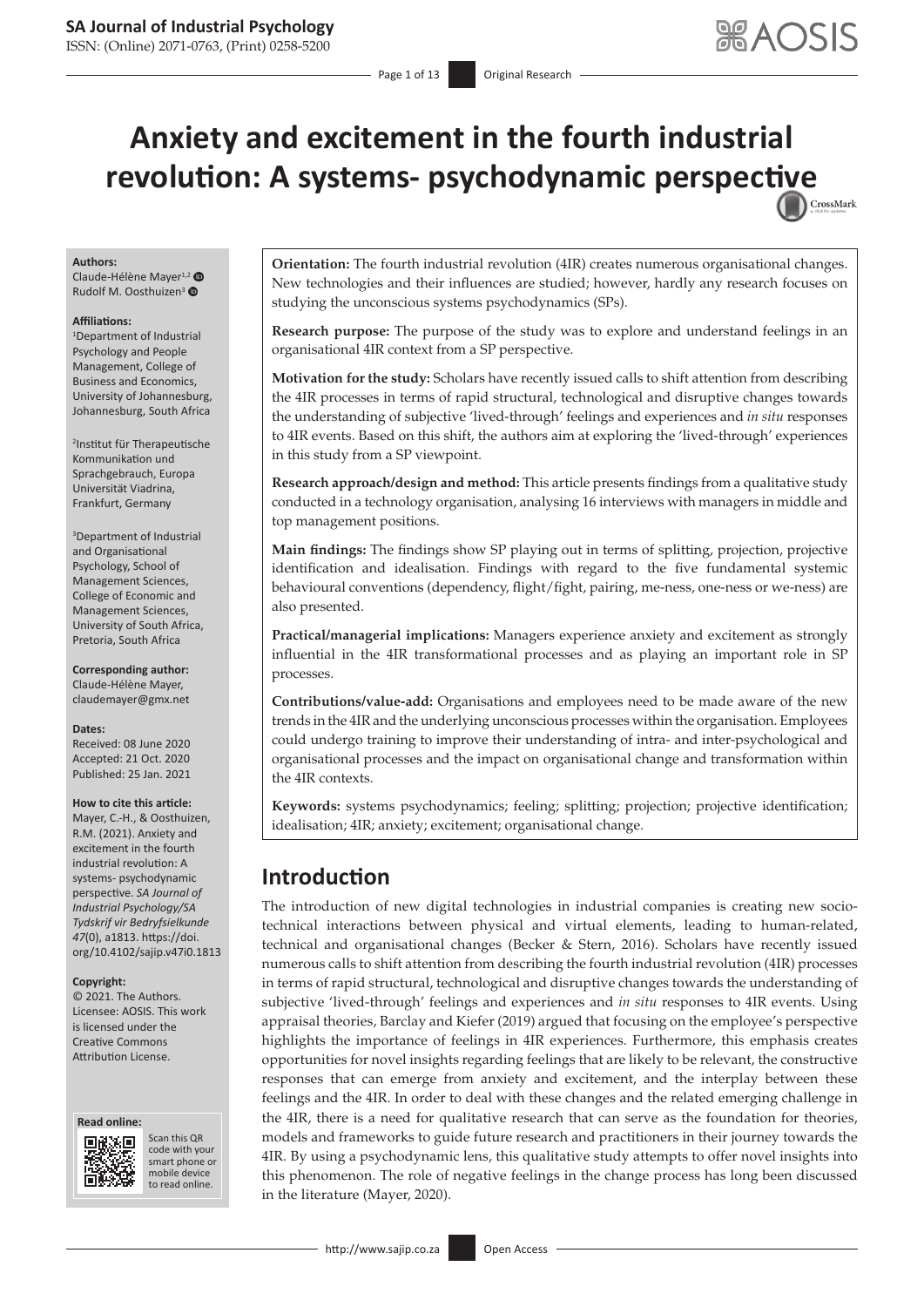# **Anxiety and excitement in the fourth industrial revolution: A systems- psychodynamic perspec[tive](http://crossmark.crossref.org/dialog/?doi=10.4102/sajip.v47i0.1813=pdf&date_stamp=2021-01-25)** CrossMark

#### **Authors:**

Claude-Hélène Mayer<sup>1,[2](https://orcid.org/0000-0002-9445-7591)</sup> Rudolf M. Oosthuizen<sup>[3](https://orcid.org/0000-0001-6856-3182)</sup> <sup>O</sup>

#### **Affiliations:**

1 Department of Industrial Psychology and People Management, College of Business and Economics, University of Johannesburg, Johannesburg, South Africa

2 Institut für Therapeutische Kommunikation und Sprachgebrauch, Europa Universität Viadrina, Frankfurt, Germany

3 Department of Industrial and Organisational Psychology, School of Management Sciences, College of Economic and Management Sciences, University of South Africa, Pretoria, South Africa

**Corresponding author:** Claude-Hélène Mayer, [claudemayer@gmx.net](mailto:claudemayer@gmx.net)

**Dates:**

Received: 08 June 2020 Accepted: 21 Oct. 2020 Published: 25 Jan. 2021

#### **How to cite this article:**

Mayer, C.-H., & Oosthuizen, R.M. (2021). Anxiety and excitement in the fourth industrial revolution: A systems- psychodynamic perspective. *SA Journal of Industrial Psychology/SA Tydskrif vir Bedryfsielkunde 47*(0), a1813. [https://doi.](https://doi.org/10.4102/sajip.v46i0.1813) [org/10.4102/sajip.v47i0.1813](https://doi.org/10.4102/sajip.v46i0.1813)

#### **Copyright:**

© 2021. The Authors. Licensee: AOSIS. This work is licensed under the Creative Commons Attribution License.





Scan this QR code with your Scan this QR<br>code with your<br>smart phone or<br>mobile device mobile device to read online. to read online.

**Orientation:** The fourth industrial revolution (4IR) creates numerous organisational changes. New technologies and their influences are studied; however, hardly any research focuses on studying the unconscious systems psychodynamics (SPs).

**Research purpose:** The purpose of the study was to explore and understand feelings in an organisational 4IR context from a SP perspective.

**Motivation for the study:** Scholars have recently issued calls to shift attention from describing the 4IR processes in terms of rapid structural, technological and disruptive changes towards the understanding of subjective 'lived-through' feelings and experiences and *in situ* responses to 4IR events. Based on this shift, the authors aim at exploring the 'lived-through' experiences in this study from a SP viewpoint.

**Research approach/design and method:** This article presents findings from a qualitative study conducted in a technology organisation, analysing 16 interviews with managers in middle and top management positions.

**Main findings:** The findings show SP playing out in terms of splitting, projection, projective identification and idealisation. Findings with regard to the five fundamental systemic behavioural conventions (dependency, flight/fight, pairing, me-ness, one-ness or we-ness) are also presented.

**Practical/managerial implications:** Managers experience anxiety and excitement as strongly influential in the 4IR transformational processes and as playing an important role in SP processes.

**Contributions/value-add:** Organisations and employees need to be made aware of the new trends in the 4IR and the underlying unconscious processes within the organisation. Employees could undergo training to improve their understanding of intra- and inter-psychological and organisational processes and the impact on organisational change and transformation within the 4IR contexts.

**Keywords:** systems psychodynamics; feeling; splitting; projection; projective identification; idealisation; 4IR; anxiety; excitement; organisational change.

## **Introduction**

The introduction of new digital technologies in industrial companies is creating new sociotechnical interactions between physical and virtual elements, leading to human-related, technical and organisational changes (Becker & Stern, 2016). Scholars have recently issued numerous calls to shift attention from describing the fourth industrial revolution (4IR) processes in terms of rapid structural, technological and disruptive changes towards the understanding of subjective 'lived-through' feelings and experiences and *in situ* responses to 4IR events. Using appraisal theories, Barclay and Kiefer (2019) argued that focusing on the employee's perspective highlights the importance of feelings in 4IR experiences. Furthermore, this emphasis creates opportunities for novel insights regarding feelings that are likely to be relevant, the constructive responses that can emerge from anxiety and excitement, and the interplay between these feelings and the 4IR. In order to deal with these changes and the related emerging challenge in the 4IR, there is a need for qualitative research that can serve as the foundation for theories, models and frameworks to guide future research and practitioners in their journey towards the 4IR. By using a psychodynamic lens, this qualitative study attempts to offer novel insights into this phenomenon. The role of negative feelings in the change process has long been discussed in the literature (Mayer, 2020).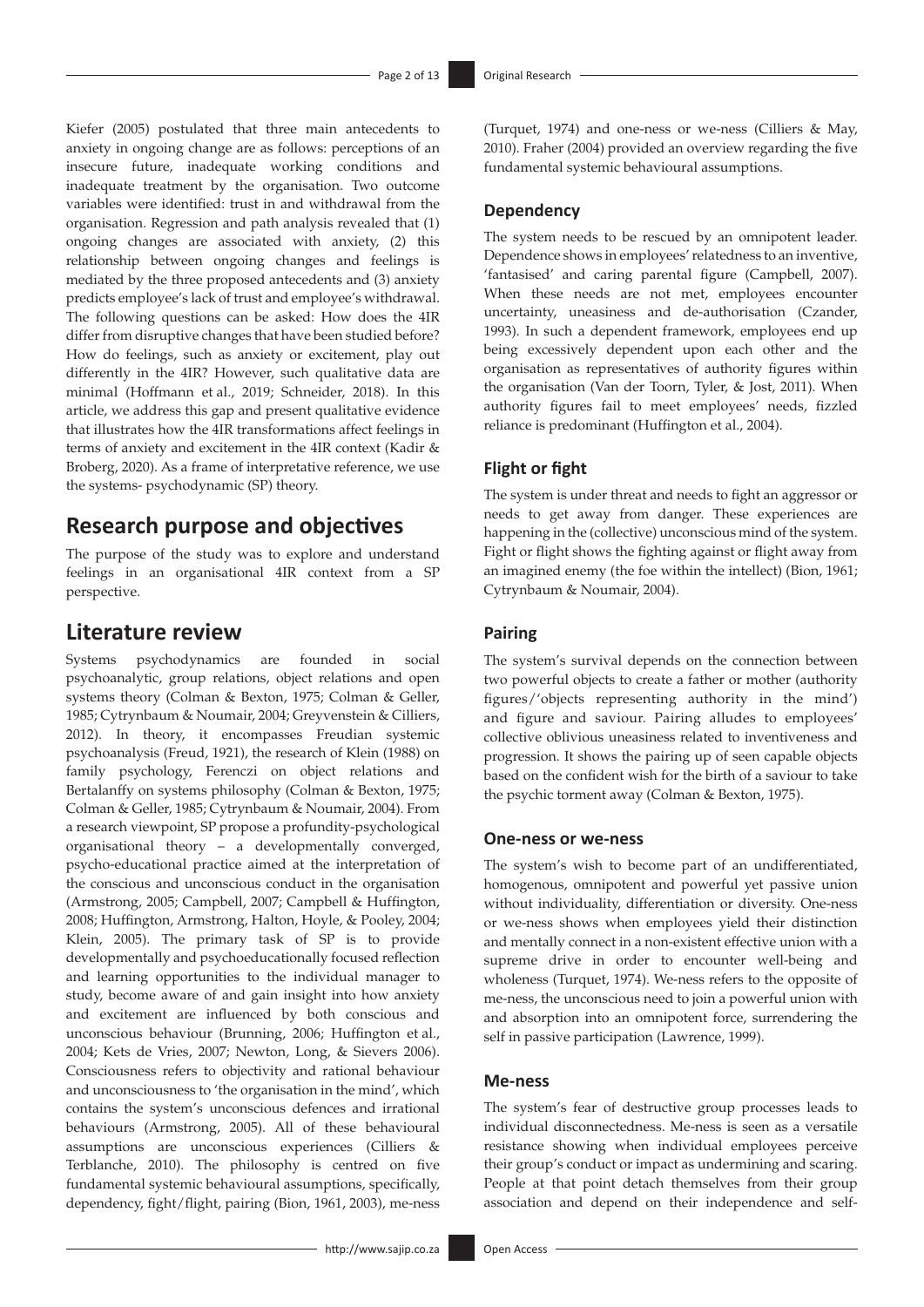Kiefer (2005) postulated that three main antecedents to anxiety in ongoing change are as follows: perceptions of an insecure future, inadequate working conditions and inadequate treatment by the organisation. Two outcome variables were identified: trust in and withdrawal from the organisation. Regression and path analysis revealed that (1) ongoing changes are associated with anxiety, (2) this relationship between ongoing changes and feelings is mediated by the three proposed antecedents and (3) anxiety predicts employee's lack of trust and employee's withdrawal. The following questions can be asked: How does the 4IR differ from disruptive changes that have been studied before? How do feelings, such as anxiety or excitement, play out differently in the 4IR? However, such qualitative data are minimal (Hoffmann et al., 2019; Schneider, 2018). In this article, we address this gap and present qualitative evidence that illustrates how the 4IR transformations affect feelings in terms of anxiety and excitement in the 4IR context (Kadir & Broberg, 2020). As a frame of interpretative reference, we use the systems- psychodynamic (SP) theory.

## **Research purpose and objectives**

The purpose of the study was to explore and understand feelings in an organisational 4IR context from a SP perspective.

## **Literature review**

Systems psychodynamics are founded in social psychoanalytic, group relations, object relations and open systems theory (Colman & Bexton, 1975; Colman & Geller, 1985; Cytrynbaum & Noumair, 2004; Greyvenstein & Cilliers, 2012). In theory, it encompasses Freudian systemic psychoanalysis (Freud, 1921), the research of Klein (1988) on family psychology, Ferenczi on object relations and Bertalanffy on systems philosophy (Colman & Bexton, 1975; Colman & Geller, 1985; Cytrynbaum & Noumair, 2004). From a research viewpoint, SP propose a profundity-psychological organisational theory – a developmentally converged, psycho-educational practice aimed at the interpretation of the conscious and unconscious conduct in the organisation (Armstrong, 2005; Campbell, 2007; Campbell & Huffington, 2008; Huffington, Armstrong, Halton, Hoyle, & Pooley, 2004; Klein, 2005). The primary task of SP is to provide developmentally and psychoeducationally focused reflection and learning opportunities to the individual manager to study, become aware of and gain insight into how anxiety and excitement are influenced by both conscious and unconscious behaviour (Brunning, 2006; Huffington et al., 2004; Kets de Vries, 2007; Newton, Long, & Sievers 2006). Consciousness refers to objectivity and rational behaviour and unconsciousness to 'the organisation in the mind', which contains the system's unconscious defences and irrational behaviours (Armstrong, 2005). All of these behavioural assumptions are unconscious experiences (Cilliers & Terblanche, 2010). The philosophy is centred on five fundamental systemic behavioural assumptions, specifically, dependency, fight/flight, pairing (Bion, 1961, 2003), me-ness

(Turquet, 1974) and one-ness or we-ness (Cilliers & May, 2010). Fraher (2004) provided an overview regarding the five fundamental systemic behavioural assumptions.

## **Dependency**

The system needs to be rescued by an omnipotent leader. Dependence shows in employees' relatedness to an inventive, 'fantasised' and caring parental figure (Campbell, 2007). When these needs are not met, employees encounter uncertainty, uneasiness and de-authorisation (Czander, 1993). In such a dependent framework, employees end up being excessively dependent upon each other and the organisation as representatives of authority figures within the organisation (Van der Toorn, Tyler, & Jost, 2011). When authority figures fail to meet employees' needs, fizzled reliance is predominant (Huffington et al., 2004).

## **Flight or fight**

The system is under threat and needs to fight an aggressor or needs to get away from danger. These experiences are happening in the (collective) unconscious mind of the system. Fight or flight shows the fighting against or flight away from an imagined enemy (the foe within the intellect) (Bion, 1961; Cytrynbaum & Noumair, 2004).

## **Pairing**

The system's survival depends on the connection between two powerful objects to create a father or mother (authority figures/'objects representing authority in the mind') and figure and saviour. Pairing alludes to employees' collective oblivious uneasiness related to inventiveness and progression. It shows the pairing up of seen capable objects based on the confident wish for the birth of a saviour to take the psychic torment away (Colman & Bexton, 1975).

### **One-ness or we-ness**

The system's wish to become part of an undifferentiated, homogenous, omnipotent and powerful yet passive union without individuality, differentiation or diversity. One-ness or we-ness shows when employees yield their distinction and mentally connect in a non-existent effective union with a supreme drive in order to encounter well-being and wholeness (Turquet, 1974). We-ness refers to the opposite of me-ness, the unconscious need to join a powerful union with and absorption into an omnipotent force, surrendering the self in passive participation (Lawrence, 1999).

## **Me-ness**

The system's fear of destructive group processes leads to individual disconnectedness. Me-ness is seen as a versatile resistance showing when individual employees perceive their group's conduct or impact as undermining and scaring. People at that point detach themselves from their group association and depend on their independence and self-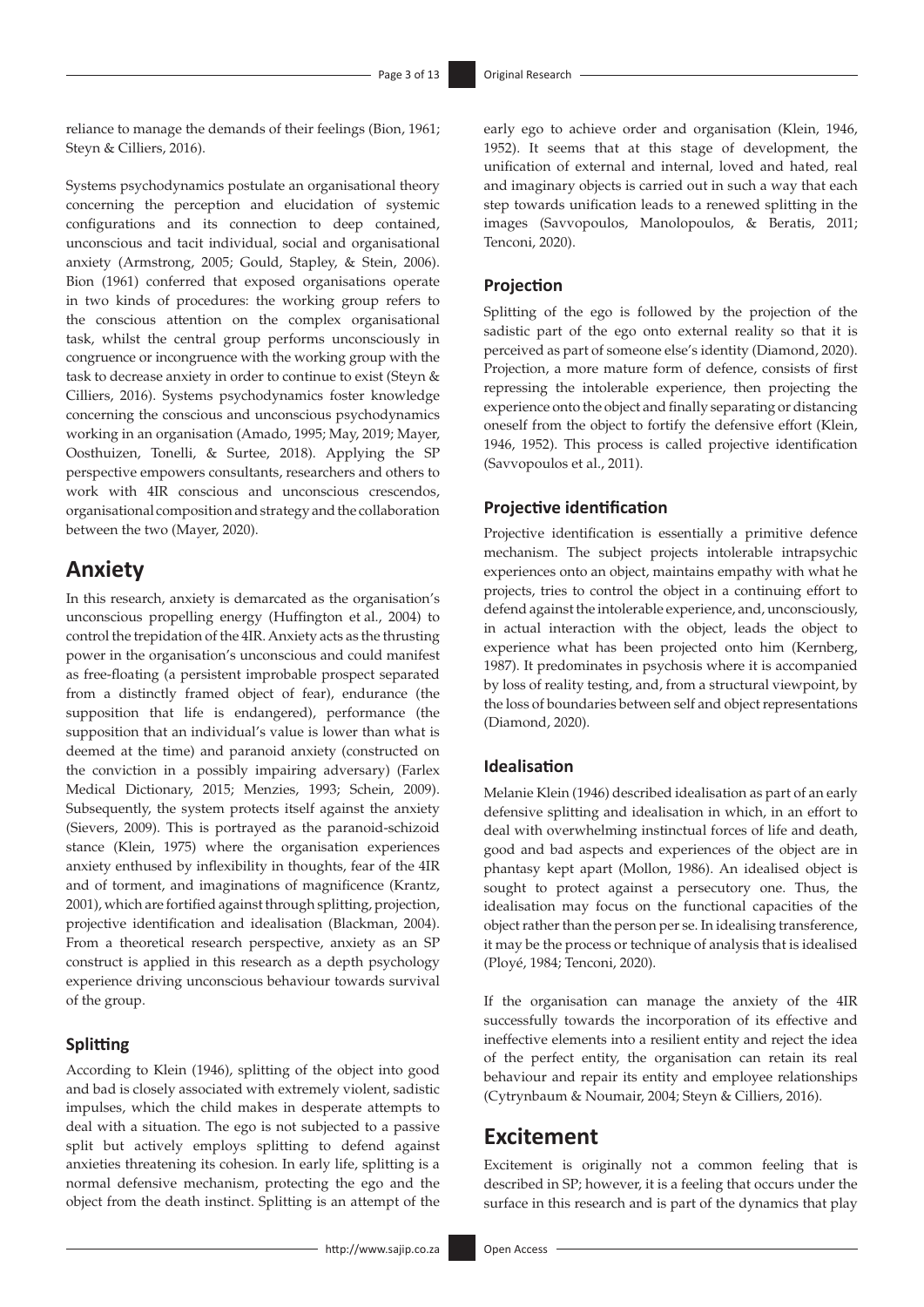reliance to manage the demands of their feelings (Bion, 1961; Steyn & Cilliers, 2016).

Systems psychodynamics postulate an organisational theory concerning the perception and elucidation of systemic configurations and its connection to deep contained, unconscious and tacit individual, social and organisational anxiety (Armstrong, 2005; Gould, Stapley, & Stein, 2006). Bion (1961) conferred that exposed organisations operate in two kinds of procedures: the working group refers to the conscious attention on the complex organisational task, whilst the central group performs unconsciously in congruence or incongruence with the working group with the task to decrease anxiety in order to continue to exist (Steyn & Cilliers, 2016). Systems psychodynamics foster knowledge concerning the conscious and unconscious psychodynamics working in an organisation (Amado, 1995; May, 2019; Mayer, Oosthuizen, Tonelli, & Surtee, 2018). Applying the SP perspective empowers consultants, researchers and others to work with 4IR conscious and unconscious crescendos, organisational composition and strategy and the collaboration between the two (Mayer, 2020).

## **Anxiety**

In this research, anxiety is demarcated as the organisation's unconscious propelling energy (Huffington et al., 2004) to control the trepidation of the 4IR. Anxiety acts as the thrusting power in the organisation's unconscious and could manifest as free-floating (a persistent improbable prospect separated from a distinctly framed object of fear), endurance (the supposition that life is endangered), performance (the supposition that an individual's value is lower than what is deemed at the time) and paranoid anxiety (constructed on the conviction in a possibly impairing adversary) (Farlex Medical Dictionary, 2015; Menzies, 1993; Schein, 2009). Subsequently, the system protects itself against the anxiety (Sievers, 2009). This is portrayed as the paranoid-schizoid stance (Klein, 1975) where the organisation experiences anxiety enthused by inflexibility in thoughts, fear of the 4IR and of torment, and imaginations of magnificence (Krantz, 2001), which are fortified against through splitting, projection, projective identification and idealisation (Blackman, 2004). From a theoretical research perspective, anxiety as an SP construct is applied in this research as a depth psychology experience driving unconscious behaviour towards survival of the group.

## **Splitting**

According to Klein (1946), splitting of the object into good and bad is closely associated with extremely violent, sadistic impulses, which the child makes in desperate attempts to deal with a situation. The ego is not subjected to a passive split but actively employs splitting to defend against anxieties threatening its cohesion. In early life, splitting is a normal defensive mechanism, protecting the ego and the object from the death instinct. Splitting is an attempt of the

early ego to achieve order and organisation (Klein, 1946, 1952). It seems that at this stage of development, the unification of external and internal, loved and hated, real and imaginary objects is carried out in such a way that each step towards unification leads to a renewed splitting in the images (Savvopoulos, Manolopoulos, & Beratis, 2011; Tenconi, 2020).

## **Projection**

Splitting of the ego is followed by the projection of the sadistic part of the ego onto external reality so that it is perceived as part of someone else's identity (Diamond, 2020). Projection, a more mature form of defence, consists of first repressing the intolerable experience, then projecting the experience onto the object and finally separating or distancing oneself from the object to fortify the defensive effort (Klein, 1946, 1952). This process is called projective identification (Savvopoulos et al., 2011).

## **Projective identification**

Projective identification is essentially a primitive defence mechanism. The subject projects intolerable intrapsychic experiences onto an object, maintains empathy with what he projects, tries to control the object in a continuing effort to defend against the intolerable experience, and, unconsciously, in actual interaction with the object, leads the object to experience what has been projected onto him (Kernberg, 1987). It predominates in psychosis where it is accompanied by loss of reality testing, and, from a structural viewpoint, by the loss of boundaries between self and object representations (Diamond, 2020).

## **Idealisation**

Melanie Klein (1946) described idealisation as part of an early defensive splitting and idealisation in which, in an effort to deal with overwhelming instinctual forces of life and death, good and bad aspects and experiences of the object are in phantasy kept apart (Mollon, 1986). An idealised object is sought to protect against a persecutory one. Thus, the idealisation may focus on the functional capacities of the object rather than the person per se. In idealising transference, it may be the process or technique of analysis that is idealised (Ployé, 1984; Tenconi, 2020).

If the organisation can manage the anxiety of the 4IR successfully towards the incorporation of its effective and ineffective elements into a resilient entity and reject the idea of the perfect entity, the organisation can retain its real behaviour and repair its entity and employee relationships (Cytrynbaum & Noumair, 2004; Steyn & Cilliers, 2016).

## **Excitement**

Excitement is originally not a common feeling that is described in SP; however, it is a feeling that occurs under the surface in this research and is part of the dynamics that play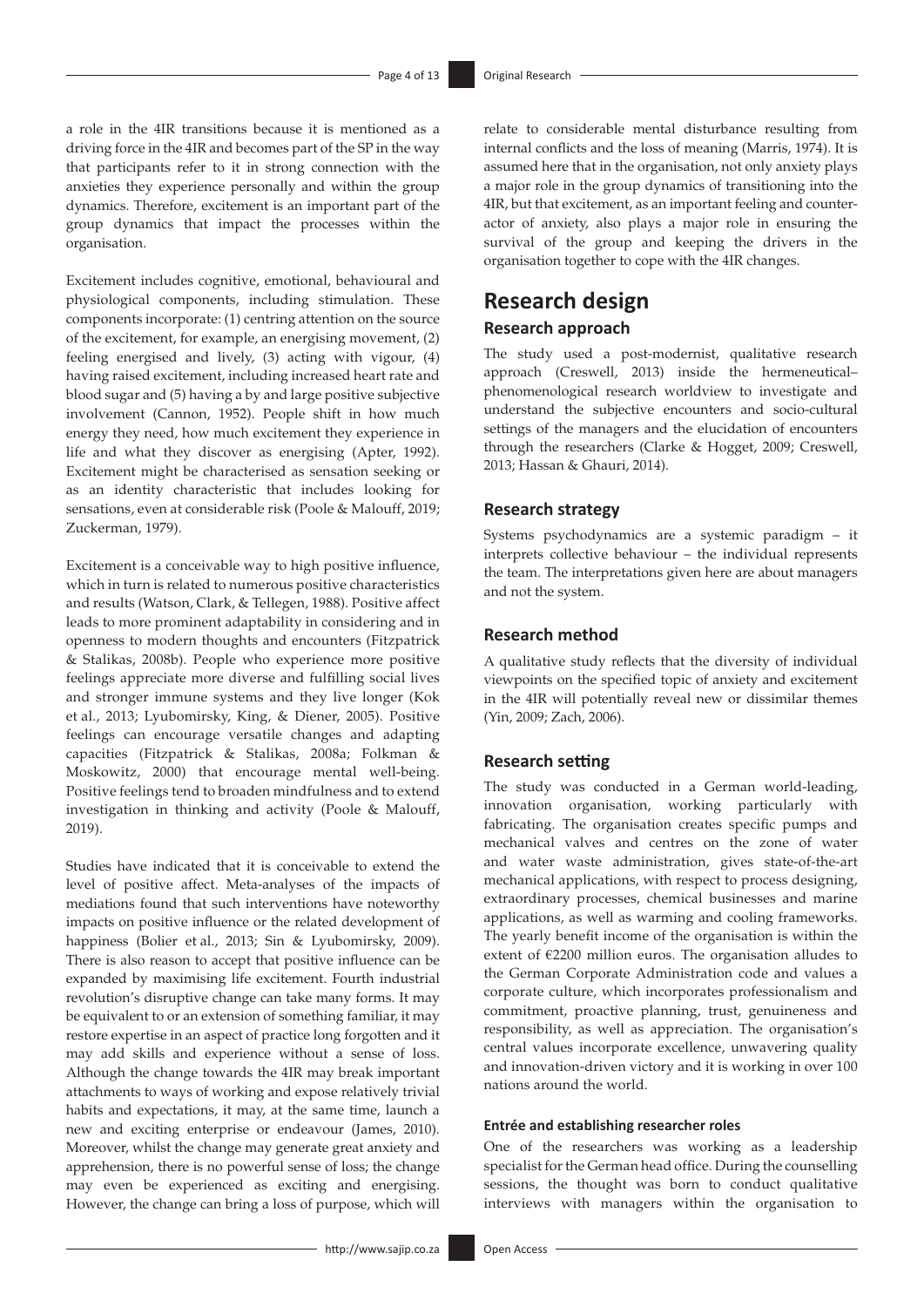a role in the 4IR transitions because it is mentioned as a driving force in the 4IR and becomes part of the SP in the way that participants refer to it in strong connection with the anxieties they experience personally and within the group dynamics. Therefore, excitement is an important part of the group dynamics that impact the processes within the organisation.

Excitement includes cognitive, emotional, behavioural and physiological components, including stimulation. These components incorporate: (1) centring attention on the source of the excitement, for example, an energising movement, (2) feeling energised and lively, (3) acting with vigour, (4) having raised excitement, including increased heart rate and blood sugar and (5) having a by and large positive subjective involvement (Cannon, 1952). People shift in how much energy they need, how much excitement they experience in life and what they discover as energising (Apter, 1992). Excitement might be characterised as sensation seeking or as an identity characteristic that includes looking for sensations, even at considerable risk (Poole & Malouff, 2019; Zuckerman, 1979).

Excitement is a conceivable way to high positive influence, which in turn is related to numerous positive characteristics and results (Watson, Clark, & Tellegen, 1988). Positive affect leads to more prominent adaptability in considering and in openness to modern thoughts and encounters (Fitzpatrick & Stalikas, 2008b). People who experience more positive feelings appreciate more diverse and fulfilling social lives and stronger immune systems and they live longer (Kok et al., 2013; Lyubomirsky, King, & Diener, 2005). Positive feelings can encourage versatile changes and adapting capacities (Fitzpatrick & Stalikas, 2008a; Folkman & Moskowitz, 2000) that encourage mental well-being. Positive feelings tend to broaden mindfulness and to extend investigation in thinking and activity (Poole & Malouff, 2019).

Studies have indicated that it is conceivable to extend the level of positive affect. Meta-analyses of the impacts of mediations found that such interventions have noteworthy impacts on positive influence or the related development of happiness (Bolier et al., 2013; Sin & Lyubomirsky, 2009). There is also reason to accept that positive influence can be expanded by maximising life excitement. Fourth industrial revolution's disruptive change can take many forms. It may be equivalent to or an extension of something familiar, it may restore expertise in an aspect of practice long forgotten and it may add skills and experience without a sense of loss. Although the change towards the 4IR may break important attachments to ways of working and expose relatively trivial habits and expectations, it may, at the same time, launch a new and exciting enterprise or endeavour (James, 2010). Moreover, whilst the change may generate great anxiety and apprehension, there is no powerful sense of loss; the change may even be experienced as exciting and energising. However, the change can bring a loss of purpose, which will

relate to considerable mental disturbance resulting from internal conflicts and the loss of meaning (Marris, 1974). It is assumed here that in the organisation, not only anxiety plays a major role in the group dynamics of transitioning into the 4IR, but that excitement, as an important feeling and counteractor of anxiety, also plays a major role in ensuring the survival of the group and keeping the drivers in the organisation together to cope with the 4IR changes.

## **Research design Research approach**

The study used a post-modernist, qualitative research approach (Creswell, 2013) inside the hermeneutical– phenomenological research worldview to investigate and understand the subjective encounters and socio-cultural settings of the managers and the elucidation of encounters through the researchers (Clarke & Hogget, 2009; Creswell, 2013; Hassan & Ghauri, 2014).

### **Research strategy**

Systems psychodynamics are a systemic paradigm – it interprets collective behaviour – the individual represents the team. The interpretations given here are about managers and not the system.

## **Research method**

A qualitative study reflects that the diversity of individual viewpoints on the specified topic of anxiety and excitement in the 4IR will potentially reveal new or dissimilar themes (Yin, 2009; Zach, 2006).

## **Research setting**

The study was conducted in a German world-leading, innovation organisation, working particularly with fabricating. The organisation creates specific pumps and mechanical valves and centres on the zone of water and water waste administration, gives state-of-the-art mechanical applications, with respect to process designing, extraordinary processes, chemical businesses and marine applications, as well as warming and cooling frameworks. The yearly benefit income of the organisation is within the extent of €2200 million euros. The organisation alludes to the German Corporate Administration code and values a corporate culture, which incorporates professionalism and commitment, proactive planning, trust, genuineness and responsibility, as well as appreciation. The organisation's central values incorporate excellence, unwavering quality and innovation-driven victory and it is working in over 100 nations around the world.

#### **Entrée and establishing researcher roles**

One of the researchers was working as a leadership specialist for the German head office. During the counselling sessions, the thought was born to conduct qualitative interviews with managers within the organisation to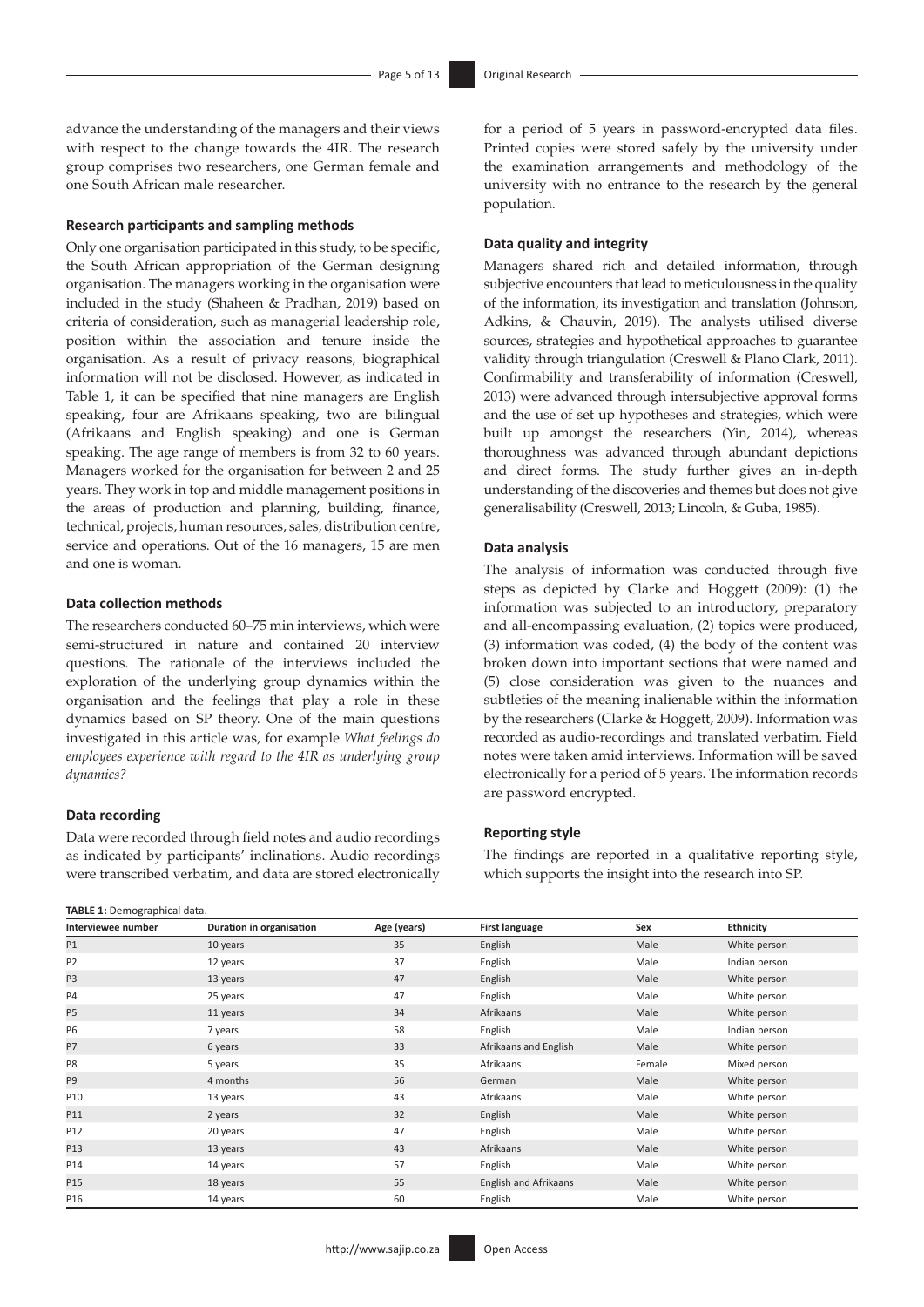advance the understanding of the managers and their views with respect to the change towards the 4IR. The research group comprises two researchers, one German female and one South African male researcher.

#### **Research participants and sampling methods**

Only one organisation participated in this study, to be specific, the South African appropriation of the German designing organisation. The managers working in the organisation were included in the study (Shaheen & Pradhan, 2019) based on criteria of consideration, such as managerial leadership role, position within the association and tenure inside the organisation. As a result of privacy reasons, biographical information will not be disclosed. However, as indicated in Table 1, it can be specified that nine managers are English speaking, four are Afrikaans speaking, two are bilingual (Afrikaans and English speaking) and one is German speaking. The age range of members is from 32 to 60 years. Managers worked for the organisation for between 2 and 25 years. They work in top and middle management positions in the areas of production and planning, building, finance, technical, projects, human resources, sales, distribution centre, service and operations. Out of the 16 managers, 15 are men and one is woman.

## **Data collection methods**

The researchers conducted 60–75 min interviews, which were semi-structured in nature and contained 20 interview questions. The rationale of the interviews included the exploration of the underlying group dynamics within the organisation and the feelings that play a role in these dynamics based on SP theory. One of the main questions investigated in this article was, for example *What feelings do employees experience with regard to the 4IR as underlying group dynamics?*

#### **Data recording**

Data were recorded through field notes and audio recordings as indicated by participants' inclinations. Audio recordings were transcribed verbatim, and data are stored electronically

| TABLE 1: Demographical data. |  |
|------------------------------|--|
|------------------------------|--|

for a period of 5 years in password-encrypted data files. Printed copies were stored safely by the university under the examination arrangements and methodology of the university with no entrance to the research by the general population.

#### **Data quality and integrity**

Managers shared rich and detailed information, through subjective encounters that lead to meticulousness in the quality of the information, its investigation and translation (Johnson, Adkins, & Chauvin, 2019). The analysts utilised diverse sources, strategies and hypothetical approaches to guarantee validity through triangulation (Creswell & Plano Clark, 2011). Confirmability and transferability of information (Creswell, 2013) were advanced through intersubjective approval forms and the use of set up hypotheses and strategies, which were built up amongst the researchers (Yin, 2014), whereas thoroughness was advanced through abundant depictions and direct forms. The study further gives an in-depth understanding of the discoveries and themes but does not give generalisability (Creswell, 2013; Lincoln, & Guba, 1985).

#### **Data analysis**

The analysis of information was conducted through five steps as depicted by Clarke and Hoggett (2009): (1) the information was subjected to an introductory, preparatory and all-encompassing evaluation, (2) topics were produced, (3) information was coded, (4) the body of the content was broken down into important sections that were named and (5) close consideration was given to the nuances and subtleties of the meaning inalienable within the information by the researchers (Clarke & Hoggett, 2009). Information was recorded as audio-recordings and translated verbatim. Field notes were taken amid interviews. Information will be saved electronically for a period of 5 years. The information records are password encrypted.

#### **Reporting style**

The findings are reported in a qualitative reporting style, which supports the insight into the research into SP.

| <b>IMPLE 1.</b> DEITIORI ADITICAI UALA. |                          |             |                       |        |               |  |
|-----------------------------------------|--------------------------|-------------|-----------------------|--------|---------------|--|
| Interviewee number                      | Duration in organisation | Age (years) | First language        | Sex    | Ethnicity     |  |
| P1                                      | 10 years                 | 35          | English               | Male   | White person  |  |
| P <sub>2</sub>                          | 12 years                 | 37          | English               | Male   | Indian person |  |
| P3                                      | 13 years                 | 47          | English               | Male   | White person  |  |
| P4                                      | 25 years                 | 47          | English               | Male   | White person  |  |
| P <sub>5</sub>                          | 11 years                 | 34          | Afrikaans             | Male   | White person  |  |
| P <sub>6</sub>                          | 7 years                  | 58          | English               | Male   | Indian person |  |
| <b>P7</b>                               | 6 years                  | 33          | Afrikaans and English | Male   | White person  |  |
| P8                                      | 5 years                  | 35          | Afrikaans             | Female | Mixed person  |  |
| P9                                      | 4 months                 | 56          | German                | Male   | White person  |  |
| P10                                     | 13 years                 | 43          | Afrikaans             | Male   | White person  |  |
| P11                                     | 2 years                  | 32          | English               | Male   | White person  |  |
| P12                                     | 20 years                 | 47          | English               | Male   | White person  |  |
| P13                                     | 13 years                 | 43          | Afrikaans             | Male   | White person  |  |
| P14                                     | 14 years                 | 57          | English               | Male   | White person  |  |
| P15                                     | 18 years                 | 55          | English and Afrikaans | Male   | White person  |  |
| P16                                     | 14 years                 | 60          | English               | Male   | White person  |  |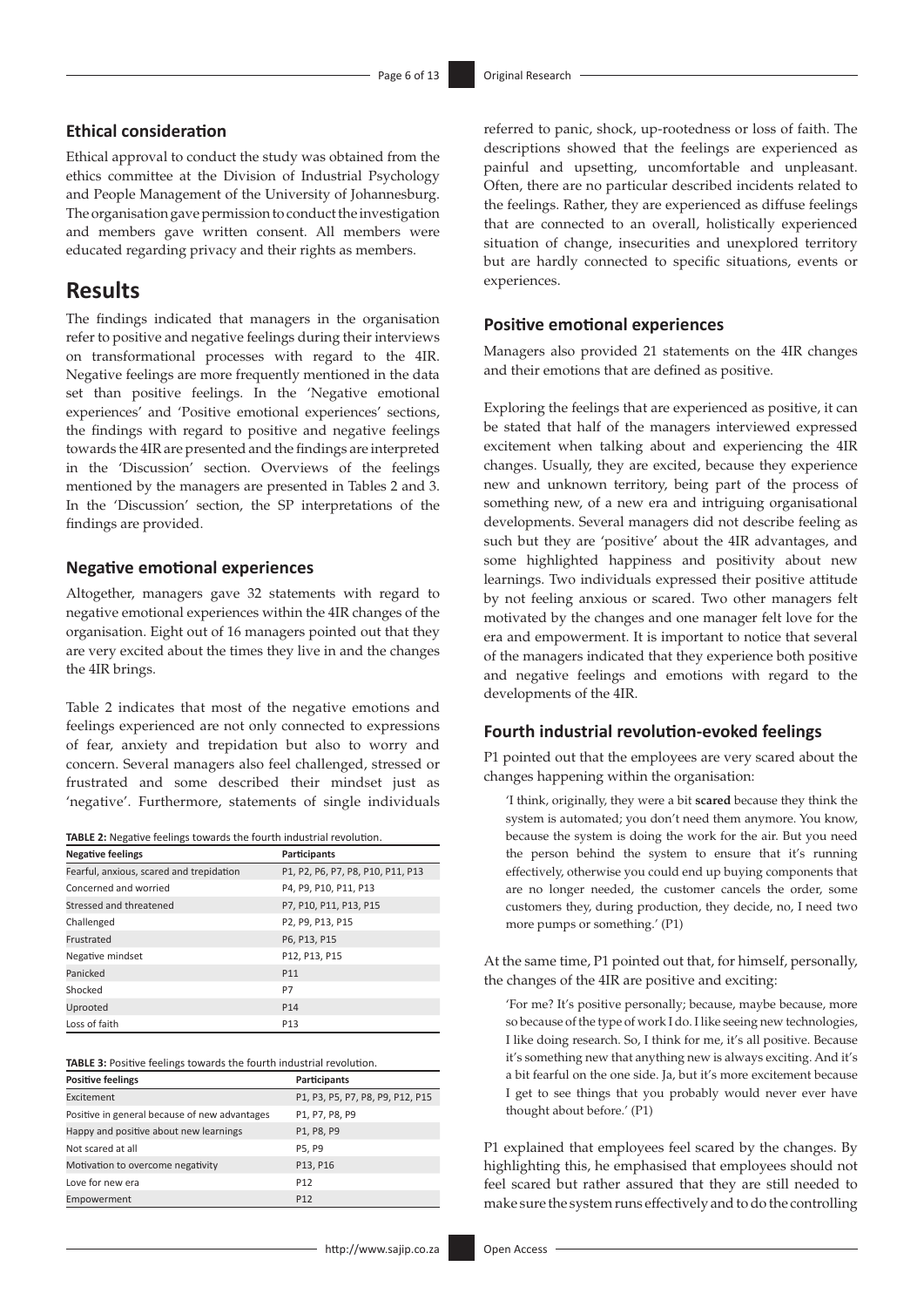## **Ethical consideration**

Ethical approval to conduct the study was obtained from the ethics committee at the Division of Industrial Psychology and People Management of the University of Johannesburg. The organisation gave permission to conduct the investigation and members gave written consent. All members were educated regarding privacy and their rights as members.

## **Results**

The findings indicated that managers in the organisation refer to positive and negative feelings during their interviews on transformational processes with regard to the 4IR. Negative feelings are more frequently mentioned in the data set than positive feelings. In the 'Negative emotional experiences' and 'Positive emotional experiences' sections, the findings with regard to positive and negative feelings towards the 4IR are presented and the findings are interpreted in the 'Discussion' section. Overviews of the feelings mentioned by the managers are presented in Tables 2 and 3. In the 'Discussion' section, the SP interpretations of the findings are provided.

## **Negative emotional experiences**

Altogether, managers gave 32 statements with regard to negative emotional experiences within the 4IR changes of the organisation. Eight out of 16 managers pointed out that they are very excited about the times they live in and the changes the 4IR brings.

Table 2 indicates that most of the negative emotions and feelings experienced are not only connected to expressions of fear, anxiety and trepidation but also to worry and concern. Several managers also feel challenged, stressed or frustrated and some described their mindset just as 'negative'. Furthermore, statements of single individuals

| TABLE 2: Negative feelings towards the fourth industrial revolution. |  |  |  |  |
|----------------------------------------------------------------------|--|--|--|--|
|----------------------------------------------------------------------|--|--|--|--|

| <b>Negative feelings</b>                 | Participants                      |
|------------------------------------------|-----------------------------------|
| Fearful, anxious, scared and trepidation | P1, P2, P6, P7, P8, P10, P11, P13 |
| Concerned and worried                    | P4, P9, P10, P11, P13             |
| Stressed and threatened                  | P7, P10, P11, P13, P15            |
| Challenged                               | P2, P9, P13, P15                  |
| Frustrated                               | P6, P13, P15                      |
| Negative mindset                         | P12, P13, P15                     |
| Panicked                                 | P <sub>11</sub>                   |
| Shocked                                  | P7                                |
| Uprooted                                 | P <sub>14</sub>                   |
| Loss of faith                            | P <sub>13</sub>                   |

| TABLE 3: Positive feelings towards the fourth industrial revolution. |  |  |  |  |  |  |  |
|----------------------------------------------------------------------|--|--|--|--|--|--|--|
|----------------------------------------------------------------------|--|--|--|--|--|--|--|

| <b>Positive feelings</b>                      | Participants                     |
|-----------------------------------------------|----------------------------------|
| Excitement                                    | P1, P3, P5, P7, P8, P9, P12, P15 |
| Positive in general because of new advantages | P1, P7, P8, P9                   |
| Happy and positive about new learnings        | P1, P8, P9                       |
| Not scared at all                             | P5. P9                           |
| Motivation to overcome negativity             | P13, P16                         |
| Love for new era                              | P <sub>12</sub>                  |
| Empowerment                                   | P <sub>12</sub>                  |

referred to panic, shock, up-rootedness or loss of faith. The descriptions showed that the feelings are experienced as painful and upsetting, uncomfortable and unpleasant. Often, there are no particular described incidents related to the feelings. Rather, they are experienced as diffuse feelings that are connected to an overall, holistically experienced situation of change, insecurities and unexplored territory but are hardly connected to specific situations, events or experiences.

## **Positive emotional experiences**

Managers also provided 21 statements on the 4IR changes and their emotions that are defined as positive.

Exploring the feelings that are experienced as positive, it can be stated that half of the managers interviewed expressed excitement when talking about and experiencing the 4IR changes. Usually, they are excited, because they experience new and unknown territory, being part of the process of something new, of a new era and intriguing organisational developments. Several managers did not describe feeling as such but they are 'positive' about the 4IR advantages, and some highlighted happiness and positivity about new learnings. Two individuals expressed their positive attitude by not feeling anxious or scared. Two other managers felt motivated by the changes and one manager felt love for the era and empowerment. It is important to notice that several of the managers indicated that they experience both positive and negative feelings and emotions with regard to the developments of the 4IR.

### **Fourth industrial revolution-evoked feelings**

P1 pointed out that the employees are very scared about the changes happening within the organisation:

'I think, originally, they were a bit **scared** because they think the system is automated; you don't need them anymore. You know, because the system is doing the work for the air. But you need the person behind the system to ensure that it's running effectively, otherwise you could end up buying components that are no longer needed, the customer cancels the order, some customers they, during production, they decide, no, I need two more pumps or something.' (P1)

At the same time, P1 pointed out that, for himself, personally, the changes of the 4IR are positive and exciting:

'For me? It's positive personally; because, maybe because, more so because of the type of work I do. I like seeing new technologies, I like doing research. So, I think for me, it's all positive. Because it's something new that anything new is always exciting. And it's a bit fearful on the one side. Ja, but it's more excitement because I get to see things that you probably would never ever have thought about before.' (P1)

P1 explained that employees feel scared by the changes. By highlighting this, he emphasised that employees should not feel scared but rather assured that they are still needed to make sure the system runs effectively and to do the controlling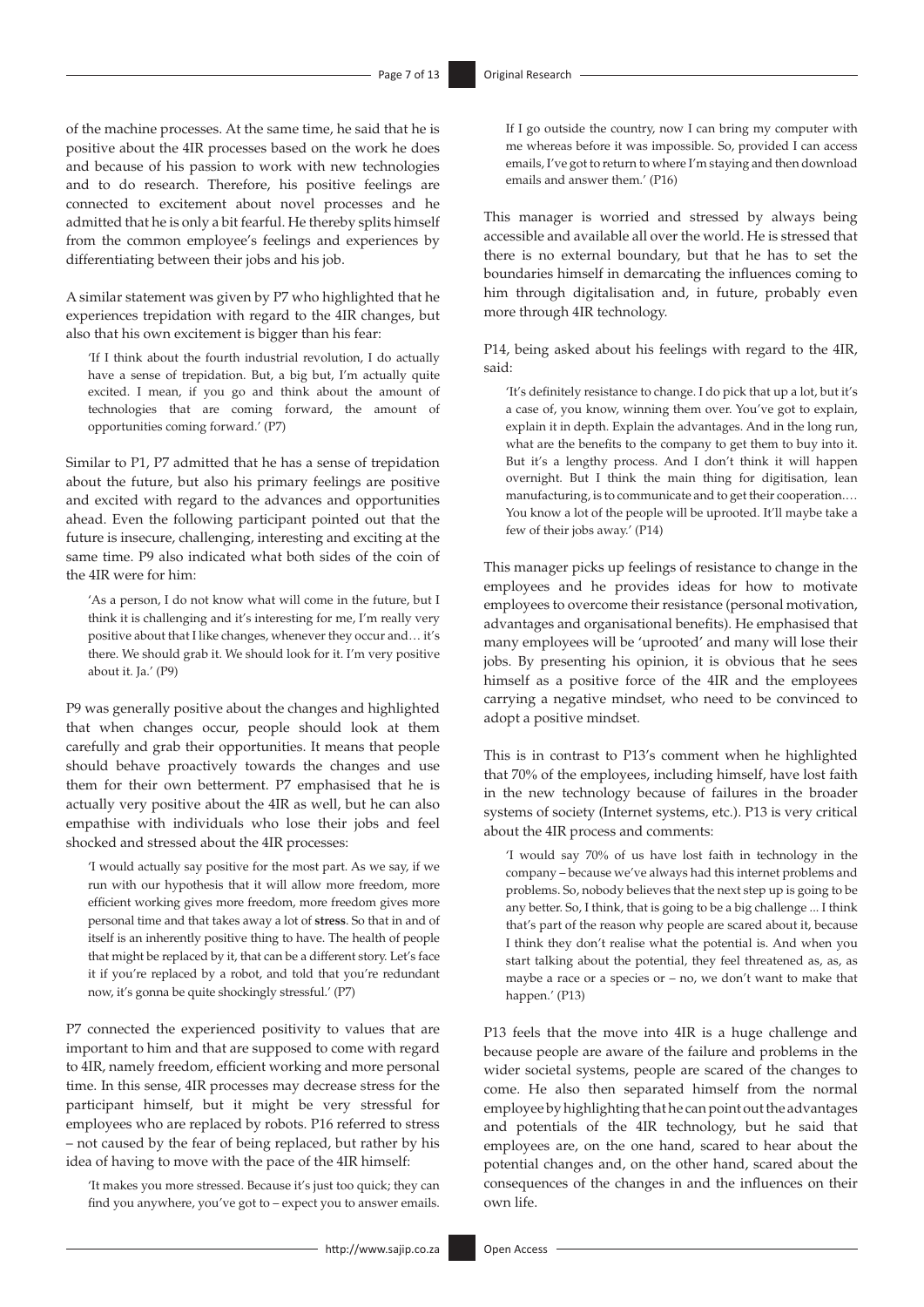of the machine processes. At the same time, he said that he is positive about the 4IR processes based on the work he does and because of his passion to work with new technologies and to do research. Therefore, his positive feelings are connected to excitement about novel processes and he admitted that he is only a bit fearful. He thereby splits himself from the common employee's feelings and experiences by differentiating between their jobs and his job.

A similar statement was given by P7 who highlighted that he experiences trepidation with regard to the 4IR changes, but also that his own excitement is bigger than his fear:

'If I think about the fourth industrial revolution, I do actually have a sense of trepidation. But, a big but, I'm actually quite excited. I mean, if you go and think about the amount of technologies that are coming forward, the amount of opportunities coming forward.' (P7)

Similar to P1, P7 admitted that he has a sense of trepidation about the future, but also his primary feelings are positive and excited with regard to the advances and opportunities ahead. Even the following participant pointed out that the future is insecure, challenging, interesting and exciting at the same time. P9 also indicated what both sides of the coin of the 4IR were for him:

'As a person, I do not know what will come in the future, but I think it is challenging and it's interesting for me, I'm really very positive about that I like changes, whenever they occur and… it's there. We should grab it. We should look for it. I'm very positive about it. Ja.' (P9)

P9 was generally positive about the changes and highlighted that when changes occur, people should look at them carefully and grab their opportunities. It means that people should behave proactively towards the changes and use them for their own betterment. P7 emphasised that he is actually very positive about the 4IR as well, but he can also empathise with individuals who lose their jobs and feel shocked and stressed about the 4IR processes:

'I would actually say positive for the most part. As we say, if we run with our hypothesis that it will allow more freedom, more efficient working gives more freedom, more freedom gives more personal time and that takes away a lot of **stress**. So that in and of itself is an inherently positive thing to have. The health of people that might be replaced by it, that can be a different story. Let's face it if you're replaced by a robot, and told that you're redundant now, it's gonna be quite shockingly stressful.' (P7)

P7 connected the experienced positivity to values that are important to him and that are supposed to come with regard to 4IR, namely freedom, efficient working and more personal time. In this sense, 4IR processes may decrease stress for the participant himself, but it might be very stressful for employees who are replaced by robots. P16 referred to stress – not caused by the fear of being replaced, but rather by his idea of having to move with the pace of the 4IR himself:

'It makes you more stressed. Because it's just too quick; they can find you anywhere, you've got to – expect you to answer emails.

If I go outside the country, now I can bring my computer with me whereas before it was impossible. So, provided I can access emails, I've got to return to where I'm staying and then download emails and answer them.' (P16)

This manager is worried and stressed by always being accessible and available all over the world. He is stressed that there is no external boundary, but that he has to set the boundaries himself in demarcating the influences coming to him through digitalisation and, in future, probably even more through 4IR technology.

P14, being asked about his feelings with regard to the 4IR, said:

'It's definitely resistance to change. I do pick that up a lot, but it's a case of, you know, winning them over. You've got to explain, explain it in depth. Explain the advantages. And in the long run, what are the benefits to the company to get them to buy into it. But it's a lengthy process. And I don't think it will happen overnight. But I think the main thing for digitisation, lean manufacturing, is to communicate and to get their cooperation.… You know a lot of the people will be uprooted. It'll maybe take a few of their jobs away.' (P14)

This manager picks up feelings of resistance to change in the employees and he provides ideas for how to motivate employees to overcome their resistance (personal motivation, advantages and organisational benefits). He emphasised that many employees will be 'uprooted' and many will lose their jobs. By presenting his opinion, it is obvious that he sees himself as a positive force of the 4IR and the employees carrying a negative mindset, who need to be convinced to adopt a positive mindset.

This is in contrast to P13's comment when he highlighted that 70% of the employees, including himself, have lost faith in the new technology because of failures in the broader systems of society (Internet systems, etc.). P13 is very critical about the 4IR process and comments:

'I would say 70% of us have lost faith in technology in the company – because we've always had this internet problems and problems. So, nobody believes that the next step up is going to be any better. So, I think, that is going to be a big challenge ... I think that's part of the reason why people are scared about it, because I think they don't realise what the potential is. And when you start talking about the potential, they feel threatened as, as, as maybe a race or a species or – no, we don't want to make that happen.' (P13)

P13 feels that the move into 4IR is a huge challenge and because people are aware of the failure and problems in the wider societal systems, people are scared of the changes to come. He also then separated himself from the normal employee by highlighting that he can point out the advantages and potentials of the 4IR technology, but he said that employees are, on the one hand, scared to hear about the potential changes and, on the other hand, scared about the consequences of the changes in and the influences on their own life.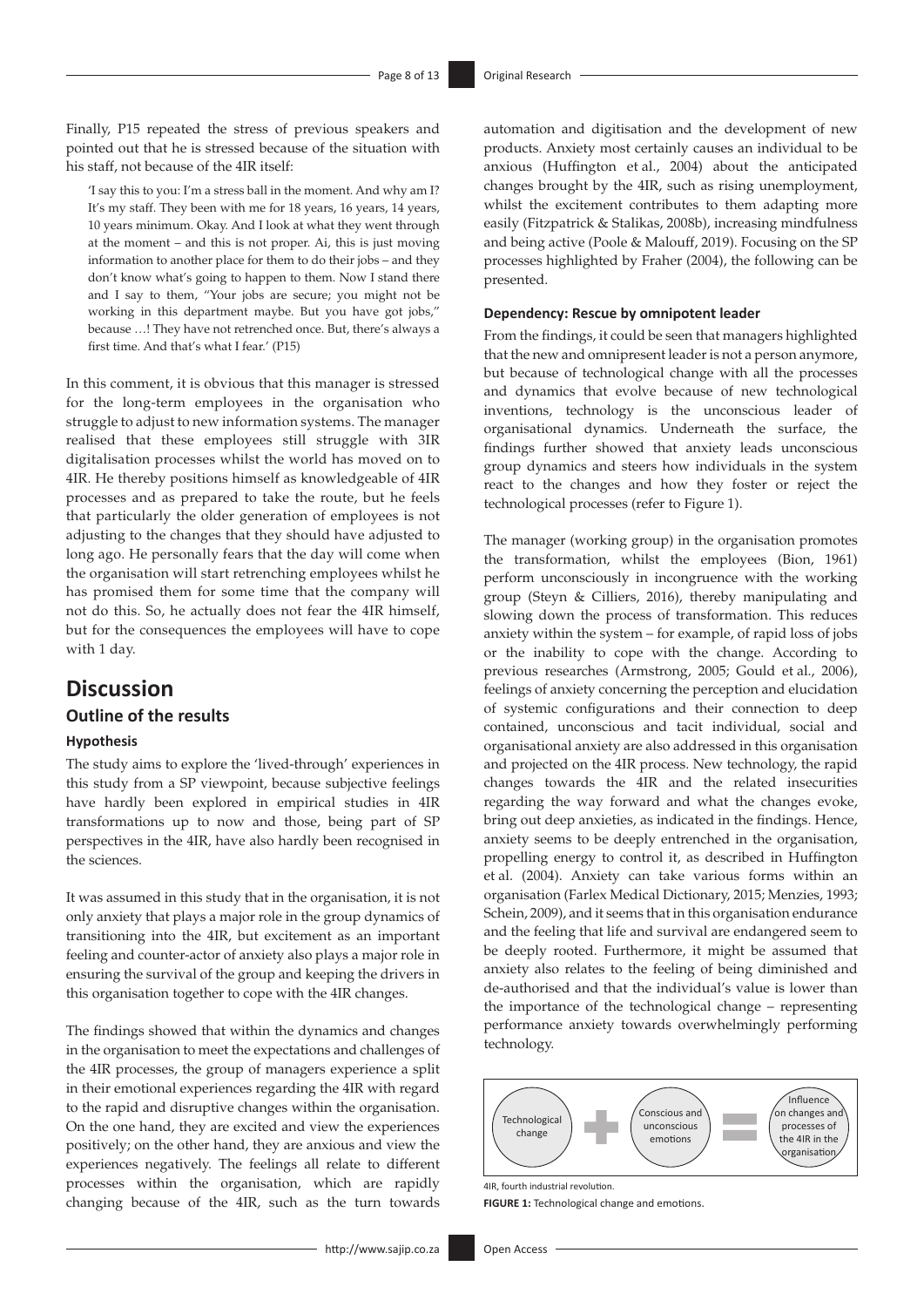Finally, P15 repeated the stress of previous speakers and pointed out that he is stressed because of the situation with his staff, not because of the 4IR itself:

'I say this to you: I'm a stress ball in the moment. And why am I? It's my staff. They been with me for 18 years, 16 years, 14 years, 10 years minimum. Okay. And I look at what they went through at the moment – and this is not proper. Ai, this is just moving information to another place for them to do their jobs – and they don't know what's going to happen to them. Now I stand there and I say to them, "Your jobs are secure; you might not be working in this department maybe. But you have got jobs," because …! They have not retrenched once. But, there's always a first time. And that's what I fear.' (P15)

In this comment, it is obvious that this manager is stressed for the long-term employees in the organisation who struggle to adjust to new information systems. The manager realised that these employees still struggle with 3IR digitalisation processes whilst the world has moved on to 4IR. He thereby positions himself as knowledgeable of 4IR processes and as prepared to take the route, but he feels that particularly the older generation of employees is not adjusting to the changes that they should have adjusted to long ago. He personally fears that the day will come when the organisation will start retrenching employees whilst he has promised them for some time that the company will not do this. So, he actually does not fear the 4IR himself, but for the consequences the employees will have to cope with 1 day.

## **Discussion**

## **Outline of the results**

### **Hypothesis**

The study aims to explore the 'lived-through' experiences in this study from a SP viewpoint, because subjective feelings have hardly been explored in empirical studies in 4IR transformations up to now and those, being part of SP perspectives in the 4IR, have also hardly been recognised in the sciences.

It was assumed in this study that in the organisation, it is not only anxiety that plays a major role in the group dynamics of transitioning into the 4IR, but excitement as an important feeling and counter-actor of anxiety also plays a major role in ensuring the survival of the group and keeping the drivers in this organisation together to cope with the 4IR changes.

The findings showed that within the dynamics and changes in the organisation to meet the expectations and challenges of the 4IR processes, the group of managers experience a split in their emotional experiences regarding the 4IR with regard to the rapid and disruptive changes within the organisation. On the one hand, they are excited and view the experiences positively; on the other hand, they are anxious and view the experiences negatively. The feelings all relate to different processes within the organisation, which are rapidly changing because of the 4IR, such as the turn towards

automation and digitisation and the development of new products. Anxiety most certainly causes an individual to be anxious (Huffington et al., 2004) about the anticipated changes brought by the 4IR, such as rising unemployment, whilst the excitement contributes to them adapting more easily (Fitzpatrick & Stalikas, 2008b), increasing mindfulness and being active (Poole & Malouff, 2019). Focusing on the SP processes highlighted by Fraher (2004), the following can be presented.

### **Dependency: Rescue by omnipotent leader**

From the findings, it could be seen that managers highlighted that the new and omnipresent leader is not a person anymore, but because of technological change with all the processes and dynamics that evolve because of new technological inventions, technology is the unconscious leader of organisational dynamics. Underneath the surface, the findings further showed that anxiety leads unconscious group dynamics and steers how individuals in the system react to the changes and how they foster or reject the technological processes (refer to Figure 1).

The manager (working group) in the organisation promotes the transformation, whilst the employees (Bion, 1961) perform unconsciously in incongruence with the working group (Steyn & Cilliers, 2016), thereby manipulating and slowing down the process of transformation. This reduces anxiety within the system – for example, of rapid loss of jobs or the inability to cope with the change. According to previous researches (Armstrong, 2005; Gould et al., 2006), feelings of anxiety concerning the perception and elucidation of systemic configurations and their connection to deep contained, unconscious and tacit individual, social and organisational anxiety are also addressed in this organisation and projected on the 4IR process. New technology, the rapid changes towards the 4IR and the related insecurities regarding the way forward and what the changes evoke, bring out deep anxieties, as indicated in the findings. Hence, anxiety seems to be deeply entrenched in the organisation, propelling energy to control it, as described in Huffington et al. (2004). Anxiety can take various forms within an organisation (Farlex Medical Dictionary, 2015; Menzies, 1993; Schein, 2009), and it seems that in this organisation endurance and the feeling that life and survival are endangered seem to be deeply rooted. Furthermore, it might be assumed that anxiety also relates to the feeling of being diminished and de-authorised and that the individual's value is lower than the importance of the technological change – representing performance anxiety towards overwhelmingly performing technology.



4IR, fourth industrial revolution.

**FIGURE 1:** Technological change and emotions.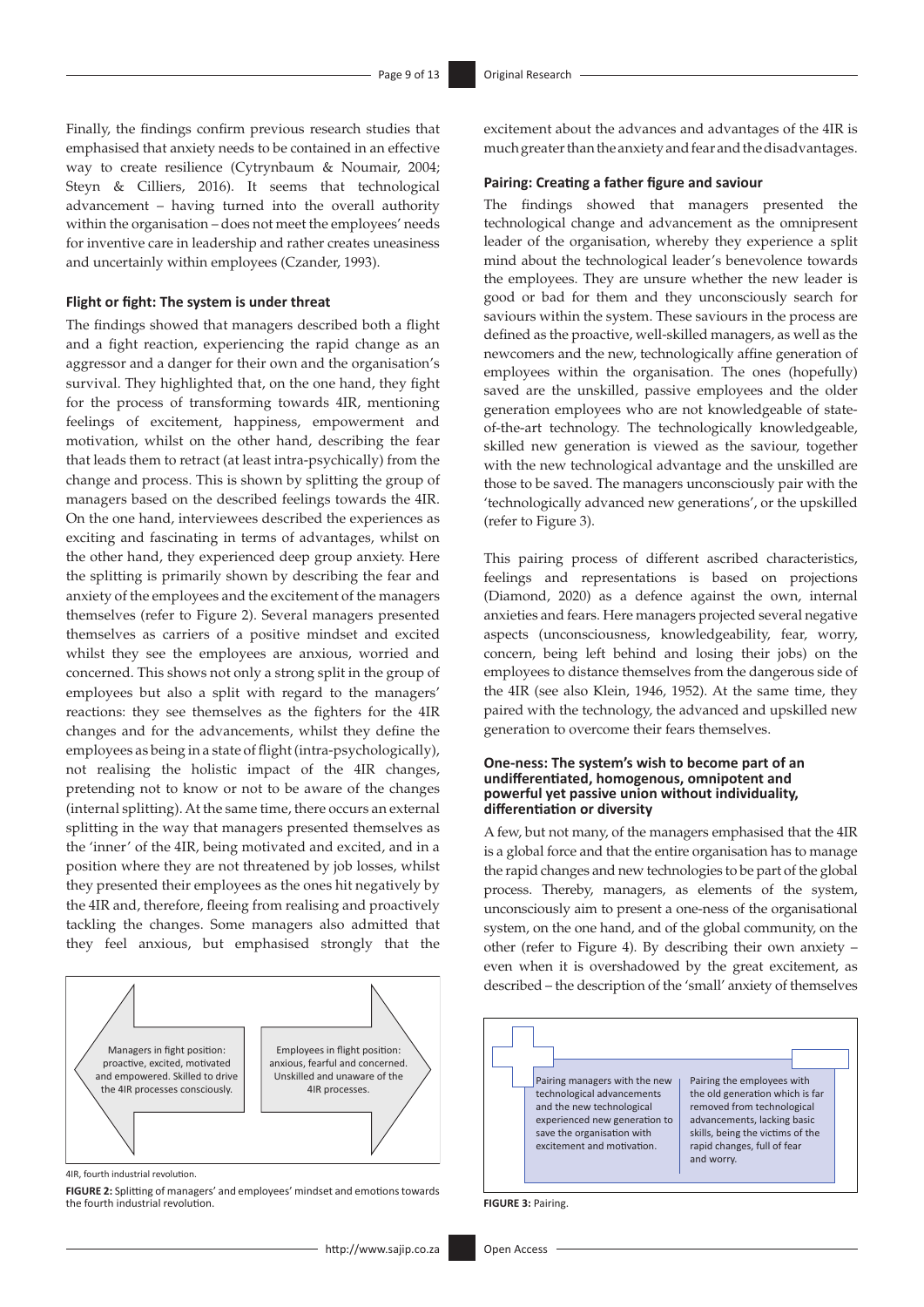Finally, the findings confirm previous research studies that emphasised that anxiety needs to be contained in an effective way to create resilience (Cytrynbaum & Noumair, 2004; Steyn & Cilliers, 2016). It seems that technological advancement – having turned into the overall authority within the organisation – does not meet the employees' needs for inventive care in leadership and rather creates uneasiness and uncertainly within employees (Czander, 1993).

#### **Flight or fight: The system is under threat**

The findings showed that managers described both a flight and a fight reaction, experiencing the rapid change as an aggressor and a danger for their own and the organisation's survival. They highlighted that, on the one hand, they fight for the process of transforming towards 4IR, mentioning feelings of excitement, happiness, empowerment and motivation, whilst on the other hand, describing the fear that leads them to retract (at least intra-psychically) from the change and process. This is shown by splitting the group of managers based on the described feelings towards the 4IR. On the one hand, interviewees described the experiences as exciting and fascinating in terms of advantages, whilst on the other hand, they experienced deep group anxiety. Here the splitting is primarily shown by describing the fear and anxiety of the employees and the excitement of the managers themselves (refer to Figure 2). Several managers presented themselves as carriers of a positive mindset and excited whilst they see the employees are anxious, worried and concerned. This shows not only a strong split in the group of employees but also a split with regard to the managers' reactions: they see themselves as the fighters for the 4IR changes and for the advancements, whilst they define the employees as being in a state of flight (intra-psychologically), not realising the holistic impact of the 4IR changes, pretending not to know or not to be aware of the changes (internal splitting). At the same time, there occurs an external splitting in the way that managers presented themselves as the 'inner' of the 4IR, being motivated and excited, and in a position where they are not threatened by job losses, whilst they presented their employees as the ones hit negatively by the 4IR and, therefore, fleeing from realising and proactively tackling the changes. Some managers also admitted that they feel anxious, but emphasised strongly that the



4IR, fourth industrial revolution.

**FIGURE 2:** Splitting of managers' and employees' mindset and emotions towards the fourth industrial revolution.

excitement about the advances and advantages of the 4IR is much greater than the anxiety and fear and the disadvantages.

#### **Pairing: Creating a father figure and saviour**

The findings showed that managers presented the technological change and advancement as the omnipresent leader of the organisation, whereby they experience a split mind about the technological leader's benevolence towards the employees. They are unsure whether the new leader is good or bad for them and they unconsciously search for saviours within the system. These saviours in the process are defined as the proactive, well-skilled managers, as well as the newcomers and the new, technologically affine generation of employees within the organisation. The ones (hopefully) saved are the unskilled, passive employees and the older generation employees who are not knowledgeable of stateof-the-art technology. The technologically knowledgeable, skilled new generation is viewed as the saviour, together with the new technological advantage and the unskilled are those to be saved. The managers unconsciously pair with the 'technologically advanced new generations', or the upskilled (refer to Figure 3).

This pairing process of different ascribed characteristics, feelings and representations is based on projections (Diamond, 2020) as a defence against the own, internal anxieties and fears. Here managers projected several negative aspects (unconsciousness, knowledgeability, fear, worry, concern, being left behind and losing their jobs) on the employees to distance themselves from the dangerous side of the 4IR (see also Klein, 1946, 1952). At the same time, they paired with the technology, the advanced and upskilled new generation to overcome their fears themselves.

#### **One-ness: The system's wish to become part of an undifferentiated, homogenous, omnipotent and powerful yet passive union without individuality, differentiation or diversity**

A few, but not many, of the managers emphasised that the 4IR is a global force and that the entire organisation has to manage the rapid changes and new technologies to be part of the global process. Thereby, managers, as elements of the system, unconsciously aim to present a one-ness of the organisational system, on the one hand, and of the global community, on the other (refer to Figure 4). By describing their own anxiety – even when it is overshadowed by the great excitement, as described – the description of the 'small' anxiety of themselves



**FIGURE 3:** Pairing.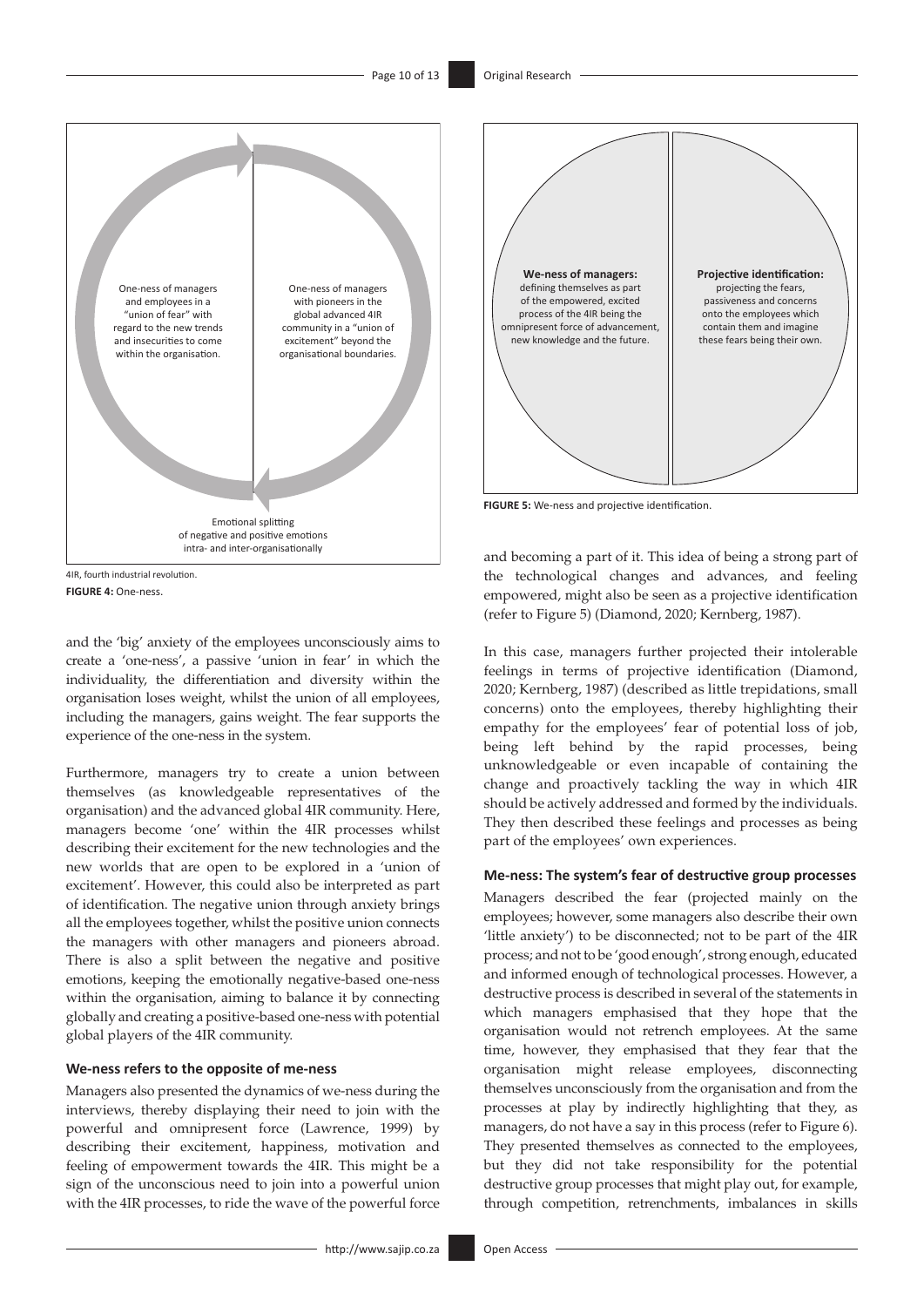



and the 'big' anxiety of the employees unconsciously aims to create a 'one-ness', a passive 'union in fear' in which the individuality, the differentiation and diversity within the organisation loses weight, whilst the union of all employees, including the managers, gains weight. The fear supports the experience of the one-ness in the system.

Furthermore, managers try to create a union between themselves (as knowledgeable representatives of the organisation) and the advanced global 4IR community. Here, managers become 'one' within the 4IR processes whilst describing their excitement for the new technologies and the new worlds that are open to be explored in a 'union of excitement'. However, this could also be interpreted as part of identification. The negative union through anxiety brings all the employees together, whilst the positive union connects the managers with other managers and pioneers abroad. There is also a split between the negative and positive emotions, keeping the emotionally negative-based one-ness within the organisation, aiming to balance it by connecting globally and creating a positive-based one-ness with potential global players of the 4IR community.

### **We-ness refers to the opposite of me-ness**

Managers also presented the dynamics of we-ness during the interviews, thereby displaying their need to join with the powerful and omnipresent force (Lawrence, 1999) by describing their excitement, happiness, motivation and feeling of empowerment towards the 4IR. This might be a sign of the unconscious need to join into a powerful union with the 4IR processes, to ride the wave of the powerful force



**FIGURE 5:** We-ness and projective identification.

and becoming a part of it. This idea of being a strong part of the technological changes and advances, and feeling empowered, might also be seen as a projective identification (refer to Figure 5) (Diamond, 2020; Kernberg, 1987).

In this case, managers further projected their intolerable feelings in terms of projective identification (Diamond, 2020; Kernberg, 1987) (described as little trepidations, small concerns) onto the employees, thereby highlighting their empathy for the employees' fear of potential loss of job, being left behind by the rapid processes, being unknowledgeable or even incapable of containing the change and proactively tackling the way in which 4IR should be actively addressed and formed by the individuals. They then described these feelings and processes as being part of the employees' own experiences.

### **Me-ness: The system's fear of destructive group processes**

Managers described the fear (projected mainly on the employees; however, some managers also describe their own 'little anxiety') to be disconnected; not to be part of the 4IR process; and not to be 'good enough', strong enough, educated and informed enough of technological processes. However, a destructive process is described in several of the statements in which managers emphasised that they hope that the organisation would not retrench employees. At the same time, however, they emphasised that they fear that the organisation might release employees, disconnecting themselves unconsciously from the organisation and from the processes at play by indirectly highlighting that they, as managers, do not have a say in this process (refer to Figure 6). They presented themselves as connected to the employees, but they did not take responsibility for the potential destructive group processes that might play out, for example, through competition, retrenchments, imbalances in skills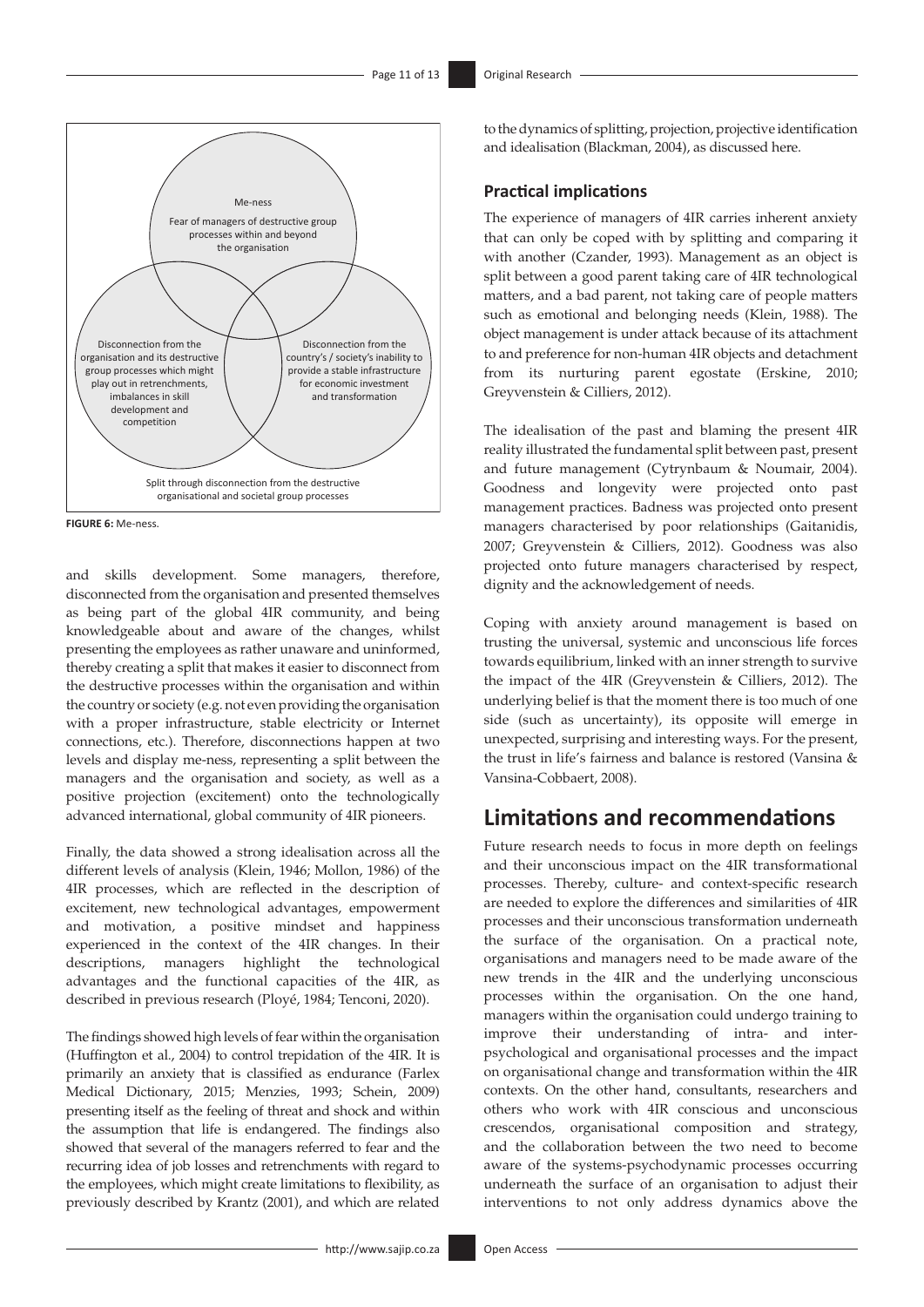

**FIGURE 6:** Me-ness.

and skills development. Some managers, therefore, disconnected from the organisation and presented themselves as being part of the global 4IR community, and being knowledgeable about and aware of the changes, whilst presenting the employees as rather unaware and uninformed, thereby creating a split that makes it easier to disconnect from the destructive processes within the organisation and within the country or society (e.g. not even providing the organisation with a proper infrastructure, stable electricity or Internet connections, etc.). Therefore, disconnections happen at two levels and display me-ness, representing a split between the managers and the organisation and society, as well as a positive projection (excitement) onto the technologically advanced international, global community of 4IR pioneers.

Finally, the data showed a strong idealisation across all the different levels of analysis (Klein, 1946; Mollon, 1986) of the 4IR processes, which are reflected in the description of excitement, new technological advantages, empowerment and motivation, a positive mindset and happiness experienced in the context of the 4IR changes. In their descriptions, managers highlight the technological advantages and the functional capacities of the 4IR, as described in previous research (Ployé, 1984; Tenconi, 2020).

The findings showed high levels of fear within the organisation (Huffington et al., 2004) to control trepidation of the 4IR. It is primarily an anxiety that is classified as endurance (Farlex Medical Dictionary, 2015; Menzies, 1993; Schein, 2009) presenting itself as the feeling of threat and shock and within the assumption that life is endangered. The findings also showed that several of the managers referred to fear and the recurring idea of job losses and retrenchments with regard to the employees, which might create limitations to flexibility, as previously described by Krantz (2001), and which are related

to the dynamics of splitting, projection, projective identification and idealisation (Blackman, 2004), as discussed here.

## **Practical implications**

The experience of managers of 4IR carries inherent anxiety that can only be coped with by splitting and comparing it with another (Czander, 1993). Management as an object is split between a good parent taking care of 4IR technological matters, and a bad parent, not taking care of people matters such as emotional and belonging needs (Klein, 1988). The object management is under attack because of its attachment to and preference for non-human 4IR objects and detachment from its nurturing parent egostate (Erskine, 2010; Greyvenstein & Cilliers, 2012).

The idealisation of the past and blaming the present 4IR reality illustrated the fundamental split between past, present and future management (Cytrynbaum & Noumair, 2004). Goodness and longevity were projected onto past management practices. Badness was projected onto present managers characterised by poor relationships (Gaitanidis, 2007; Greyvenstein & Cilliers, 2012). Goodness was also projected onto future managers characterised by respect, dignity and the acknowledgement of needs.

Coping with anxiety around management is based on trusting the universal, systemic and unconscious life forces towards equilibrium, linked with an inner strength to survive the impact of the 4IR (Greyvenstein & Cilliers, 2012). The underlying belief is that the moment there is too much of one side (such as uncertainty), its opposite will emerge in unexpected, surprising and interesting ways. For the present, the trust in life's fairness and balance is restored (Vansina & Vansina-Cobbaert, 2008).

## **Limitations and recommendations**

Future research needs to focus in more depth on feelings and their unconscious impact on the 4IR transformational processes. Thereby, culture- and context-specific research are needed to explore the differences and similarities of 4IR processes and their unconscious transformation underneath the surface of the organisation. On a practical note, organisations and managers need to be made aware of the new trends in the 4IR and the underlying unconscious processes within the organisation. On the one hand, managers within the organisation could undergo training to improve their understanding of intra- and interpsychological and organisational processes and the impact on organisational change and transformation within the 4IR contexts. On the other hand, consultants, researchers and others who work with 4IR conscious and unconscious crescendos, organisational composition and strategy, and the collaboration between the two need to become aware of the systems-psychodynamic processes occurring underneath the surface of an organisation to adjust their interventions to not only address dynamics above the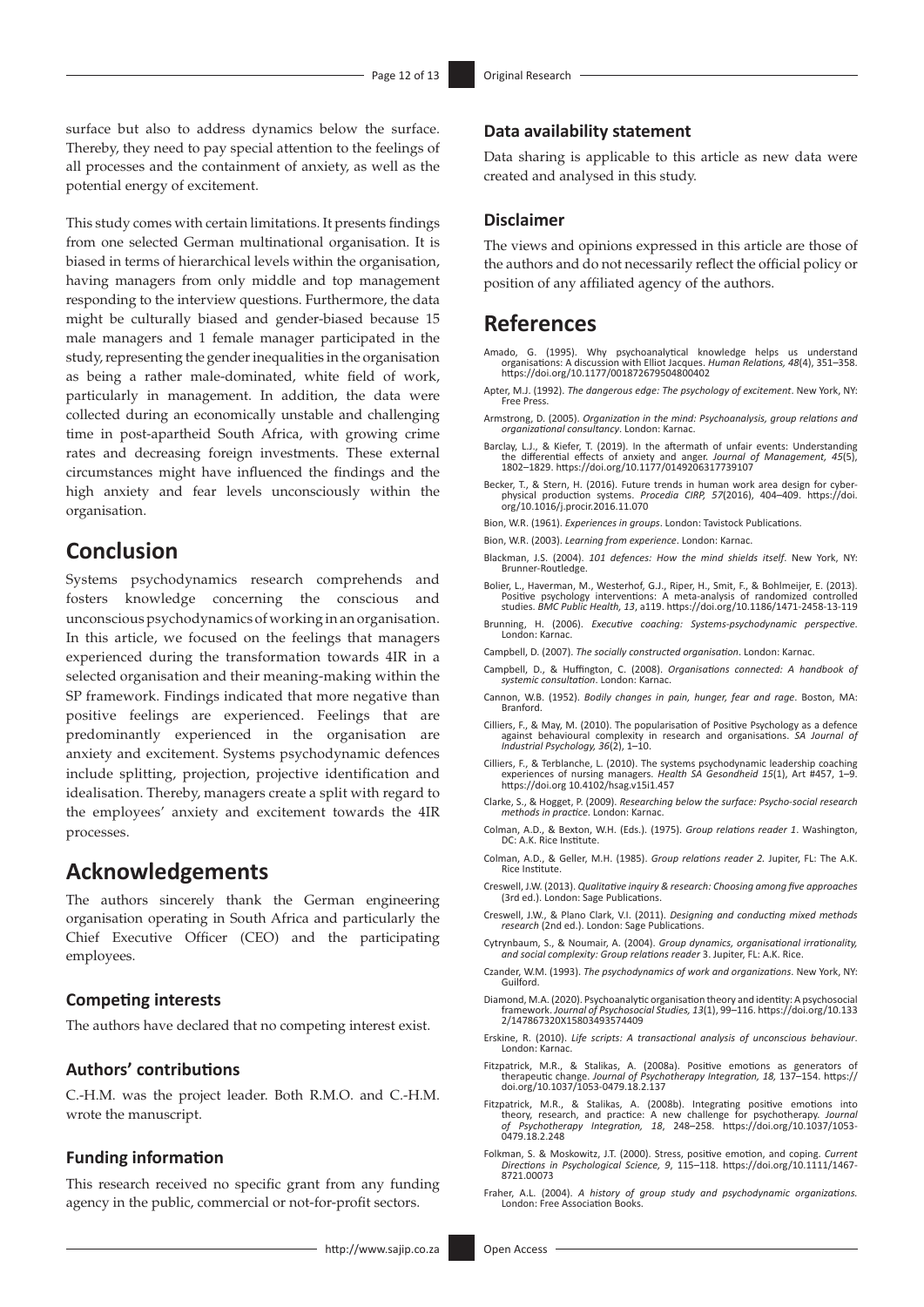surface but also to address dynamics below the surface. Thereby, they need to pay special attention to the feelings of all processes and the containment of anxiety, as well as the potential energy of excitement.

This study comes with certain limitations. It presents findings from one selected German multinational organisation. It is biased in terms of hierarchical levels within the organisation, having managers from only middle and top management responding to the interview questions. Furthermore, the data might be culturally biased and gender-biased because 15 male managers and 1 female manager participated in the study, representing the gender inequalities in the organisation as being a rather male-dominated, white field of work, particularly in management. In addition, the data were collected during an economically unstable and challenging time in post-apartheid South Africa, with growing crime rates and decreasing foreign investments. These external circumstances might have influenced the findings and the high anxiety and fear levels unconsciously within the organisation.

## **Conclusion**

Systems psychodynamics research comprehends and fosters knowledge concerning the conscious and unconscious psychodynamics of working in an organisation. In this article, we focused on the feelings that managers experienced during the transformation towards 4IR in a selected organisation and their meaning-making within the SP framework. Findings indicated that more negative than positive feelings are experienced. Feelings that are predominantly experienced in the organisation are anxiety and excitement. Systems psychodynamic defences include splitting, projection, projective identification and idealisation. Thereby, managers create a split with regard to the employees' anxiety and excitement towards the 4IR processes.

## **Acknowledgements**

The authors sincerely thank the German engineering organisation operating in South Africa and particularly the Chief Executive Officer (CEO) and the participating employees.

### **Competing interests**

The authors have declared that no competing interest exist.

## **Authors' contributions**

C.-H.M. was the project leader. Both R.M.O. and C.-H.M. wrote the manuscript.

### **Funding information**

This research received no specific grant from any funding agency in the public, commercial or not-for-profit sectors.

## **Data availability statement**

Data sharing is applicable to this article as new data were created and analysed in this study.

## **Disclaimer**

The views and opinions expressed in this article are those of the authors and do not necessarily reflect the official policy or position of any affiliated agency of the authors.

## **References**

- Amado, G. (1995). Why psychoanalytical knowledge helps us understand organisations: A discussion with Elliot Jacques. *Human Relations, 48*(4), 351–358. <https://doi.org/10.1177/001872679504800402>
- Apter, M.J. (1992). *The dangerous edge: The psychology of excitement*. New York, NY: Free Press.
- Armstrong, D. (2005). *Organization in the mind: Psychoanalysis, group relations and organizational consultancy*. London: Karnac.
- Barclay, L.J., & Kiefer, T. (2019). In the aftermath of unfair events: Understanding<br>the differential effects of anxiety and anger. *Journal of Management, 45*(5),<br>1802–1829.<https://doi.org/10.1177/0149206317739107>
- Becker, T., & Stern, H. (2016). Future trends in human work area design for cyberphysical production systems. *Procedia CIRP, 57*(2016), 404–409. [https://doi.](https://doi.org/10.1016/j.procir.2016.11.070) [org/10.1016/j.procir.2016.11.070](https://doi.org/10.1016/j.procir.2016.11.070)
- Bion, W.R. (1961). *Experiences in groups*. London: Tavistock Publications.
- Bion, W.R. (2003). *Learning from experience*. London: Karnac.
- Blackman, J.S. (2004). *101 defences: How the mind shields itself*. New York, NY: Brunner-Routledge.
- Bolier, L., Haverman, M., Westerhof, G.J., Riper, H., Smit, F., & Bohlmeijer, E. (2013). Positive psychology interventions: A meta-analysis of randomized controlled studies. *BMC Public Health, 13*, a119. <https://doi.org/10.1186/1471-2458-13-119>
- Brunning, H. (2006). *Executive coaching: Systems-psychodynamic perspective*. London: Karnac.
- Campbell, D. (2007). *The socially constructed organisation*. London: Karnac.
- Campbell, D., & Huffington, C. (2008). *Organisations connected: A handbook of systemic consultation*. London: Karnac.
- Cannon, W.B. (1952). *Bodily changes in pain, hunger, fear and rage*. Boston, MA: Branford.
- Cilliers, F., & May, M. (2010). The popularisation of Positive Psychology as a defence against behavioural complexity in research and organisations. *SA Journal of Industrial Psychology, 36*(2), 1–10.
- Cilliers, F., & Terblanche, L. (2010). The systems psychodynamic leadership coaching experiences of nursing managers. *Health SA Gesondheid 15*(1), Art #457, 1–9. <https://doi.org>10.4102/hsag.v15i1.457
- Clarke, S., & Hogget, P. (2009). *Researching below the surface: Psycho-social research methods in practice*. London: Karnac.
- Colman, A.D., & Bexton, W.H. (Eds.). (1975). *Group relations reader 1*. Washington, DC: A.K. Rice Institute.
- Colman, A.D., & Geller, M.H. (1985). *Group relations reader 2.* Jupiter, FL: The A.K. Rice Institute.
- Creswell, J.W. (2013). *Qualitative inquiry & research: Choosing among five approaches*  (3rd ed.). London: Sage Publications.
- Creswell, J.W., & Plano Clark, V.I. (2011). *Designing and conducting mixed methods research* (2nd ed.). London: Sage Publications.
- Cytrynbaum, S., & Noumair, A. (2004). *Group dynamics, organisational irrationality, and social complexity: Group relations reader* 3. Jupiter, FL: A.K. Rice.
- Czander, W.M. (1993). *The psychodynamics of work and organizations*. New York, NY: Guilford.
- Diamond, M.A. (2020). Psychoanalytic organisation theory and identity: A psychosocial framework. *Journal of Psychosocial Studies, 13*(1), 99–116. [https://doi.org/](https://doi.org)10.133 2/147867320X15803493574409
- Erskine, R. (2010). *Life scripts: A transactional analysis of unconscious behaviour*. London: Karnac.
- Fitzpatrick, M.R., & Stalikas, A. (2008a). Positive emotions as generators of therapeutic change. *Journal of Psychotherapy Integration, 18,* 137–154. [https://](https://doi.org) [doi.org](https://doi.org)/10.1037/1053-0479.18.2.137
- Fitzpatrick, M.R., & Stalikas, A. (2008b). Integrating positive emotions into<br>theory, research, and practice: A new challenge for psychotherapy. Journal<br>of Psychotherapy Integration, 18, 248–258. [https://doi.org/](https://doi.org)10.1037/10 0479.18.2.248
- Folkman, S. & Moskowitz, J.T. (2000). Stress, positive emotion, and coping. *Current Directions in Psychological Science, 9*, 115–118. [https://doi.org/](https://doi.org)10.1111/1467- 8721.00073
- Fraher, A.L. (2004). *A history of group study and psychodynamic organizations.*  London: Free Association Books.